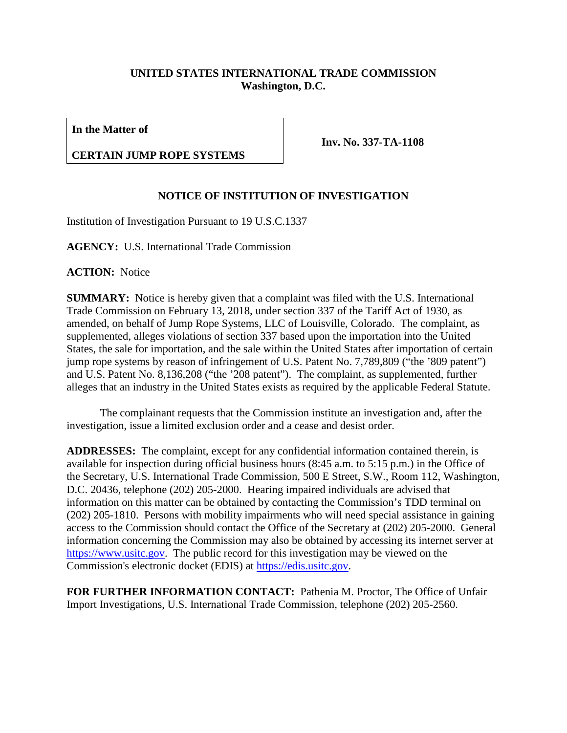## **UNITED STATES INTERNATIONAL TRADE COMMISSION Washington, D.C.**

**In the Matter of**

## **CERTAIN JUMP ROPE SYSTEMS**

**Inv. No. 337-TA-1108**

## **NOTICE OF INSTITUTION OF INVESTIGATION**

Institution of Investigation Pursuant to 19 U.S.C.1337

**AGENCY:** U.S. International Trade Commission

**ACTION:** Notice

**SUMMARY:** Notice is hereby given that a complaint was filed with the U.S. International Trade Commission on February 13, 2018, under section 337 of the Tariff Act of 1930, as amended, on behalf of Jump Rope Systems, LLC of Louisville, Colorado. The complaint, as supplemented, alleges violations of section 337 based upon the importation into the United States, the sale for importation, and the sale within the United States after importation of certain jump rope systems by reason of infringement of U.S. Patent No. 7,789,809 ("the '809 patent") and U.S. Patent No. 8,136,208 ("the '208 patent"). The complaint, as supplemented, further alleges that an industry in the United States exists as required by the applicable Federal Statute.

The complainant requests that the Commission institute an investigation and, after the investigation, issue a limited exclusion order and a cease and desist order.

**ADDRESSES:** The complaint, except for any confidential information contained therein, is available for inspection during official business hours (8:45 a.m. to 5:15 p.m.) in the Office of the Secretary, U.S. International Trade Commission, 500 E Street, S.W., Room 112, Washington, D.C. 20436, telephone (202) 205-2000. Hearing impaired individuals are advised that information on this matter can be obtained by contacting the Commission's TDD terminal on (202) 205-1810. Persons with mobility impairments who will need special assistance in gaining access to the Commission should contact the Office of the Secretary at (202) 205-2000. General information concerning the Commission may also be obtained by accessing its internet server at [https://www.usitc.gov.](https://www.usitc.gov/) The public record for this investigation may be viewed on the Commission's electronic docket (EDIS) at [https://edis.usitc.gov.](https://edis.usitc.gov/)

**FOR FURTHER INFORMATION CONTACT:** Pathenia M. Proctor, The Office of Unfair Import Investigations, U.S. International Trade Commission, telephone (202) 205-2560.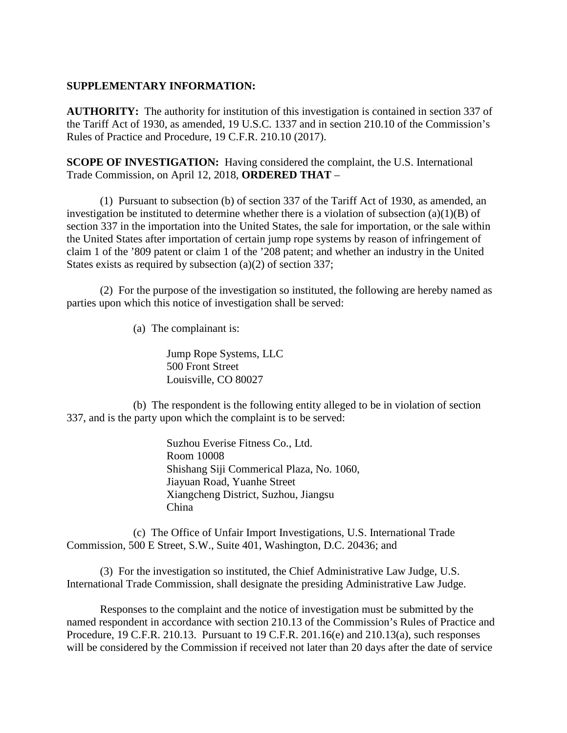## **SUPPLEMENTARY INFORMATION:**

**AUTHORITY:** The authority for institution of this investigation is contained in section 337 of the Tariff Act of 1930, as amended, 19 U.S.C. 1337 and in section 210.10 of the Commission's Rules of Practice and Procedure, 19 C.F.R. 210.10 (2017).

**SCOPE OF INVESTIGATION:** Having considered the complaint, the U.S. International Trade Commission, on April 12, 2018, **ORDERED THAT** –

(1) Pursuant to subsection (b) of section 337 of the Tariff Act of 1930, as amended, an investigation be instituted to determine whether there is a violation of subsection  $(a)(1)(B)$  of section 337 in the importation into the United States, the sale for importation, or the sale within the United States after importation of certain jump rope systems by reason of infringement of claim 1 of the '809 patent or claim 1 of the '208 patent; and whether an industry in the United States exists as required by subsection (a)(2) of section 337;

(2) For the purpose of the investigation so instituted, the following are hereby named as parties upon which this notice of investigation shall be served:

(a) The complainant is:

Jump Rope Systems, LLC 500 Front Street Louisville, CO 80027

(b) The respondent is the following entity alleged to be in violation of section 337, and is the party upon which the complaint is to be served:

> Suzhou Everise Fitness Co., Ltd. Room 10008 Shishang Siji Commerical Plaza, No. 1060, Jiayuan Road, Yuanhe Street Xiangcheng District, Suzhou, Jiangsu China

(c) The Office of Unfair Import Investigations, U.S. International Trade Commission, 500 E Street, S.W., Suite 401, Washington, D.C. 20436; and

(3) For the investigation so instituted, the Chief Administrative Law Judge, U.S. International Trade Commission, shall designate the presiding Administrative Law Judge.

Responses to the complaint and the notice of investigation must be submitted by the named respondent in accordance with section 210.13 of the Commission's Rules of Practice and Procedure, 19 C.F.R. 210.13. Pursuant to 19 C.F.R. 201.16(e) and 210.13(a), such responses will be considered by the Commission if received not later than 20 days after the date of service